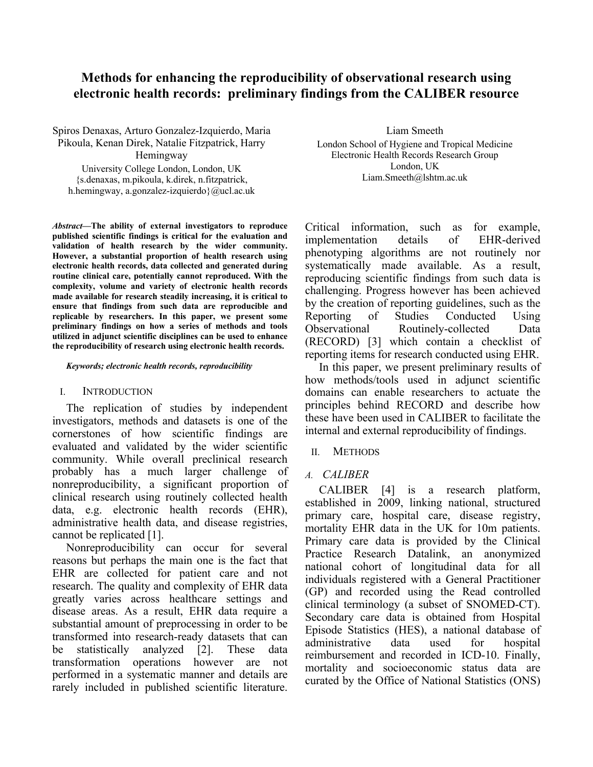# **Methods for enhancing the reproducibility of observational research using electronic health records: preliminary findings from the CALIBER resource**

Spiros Denaxas, Arturo Gonzalez-Izquierdo, Maria Pikoula, Kenan Direk, Natalie Fitzpatrick, Harry Hemingway University College London, London, UK

{s.denaxas, m.pikoula, k.direk, n.fitzpatrick, h.hemingway, a.gonzalez-izquierdo}@ucl.ac.uk

*Abstract***—The ability of external investigators to reproduce published scientific findings is critical for the evaluation and validation of health research by the wider community. However, a substantial proportion of health research using electronic health records, data collected and generated during routine clinical care, potentially cannot reproduced. With the complexity, volume and variety of electronic health records made available for research steadily increasing, it is critical to ensure that findings from such data are reproducible and replicable by researchers. In this paper, we present some preliminary findings on how a series of methods and tools utilized in adjunct scientific disciplines can be used to enhance the reproducibility of research using electronic health records.**

#### *Keywords; electronic health records, reproducibility*

### I. INTRODUCTION

The replication of studies by independent investigators, methods and datasets is one of the cornerstones of how scientific findings are evaluated and validated by the wider scientific community. While overall preclinical research probably has a much larger challenge of nonreproducibility, a significant proportion of clinical research using routinely collected health data, e.g. electronic health records (EHR), administrative health data, and disease registries, cannot be replicated [1].

Nonreproducibility can occur for several reasons but perhaps the main one is the fact that EHR are collected for patient care and not research. The quality and complexity of EHR data greatly varies across healthcare settings and disease areas. As a result, EHR data require a substantial amount of preprocessing in order to be transformed into research-ready datasets that can be statistically analyzed [2]. These data transformation operations however are not performed in a systematic manner and details are rarely included in published scientific literature.

Liam Smeeth London School of Hygiene and Tropical Medicine Electronic Health Records Research Group London, UK Liam.Smeeth@lshtm.ac.uk

Critical information, such as for example, implementation details of EHR-derived phenotyping algorithms are not routinely nor systematically made available. As a result, reproducing scientific findings from such data is challenging. Progress however has been achieved by the creation of reporting guidelines, such as the Reporting of Studies Conducted Using Observational Routinely-collected Data (RECORD) [3] which contain a checklist of reporting items for research conducted using EHR.

In this paper, we present preliminary results of how methods/tools used in adjunct scientific domains can enable researchers to actuate the principles behind RECORD and describe how these have been used in CALIBER to facilitate the internal and external reproducibility of findings.

### II. METHODS

### *A. CALIBER*

CALIBER [4] is a research platform, established in 2009, linking national, structured primary care, hospital care, disease registry, mortality EHR data in the UK for 10m patients. Primary care data is provided by the Clinical Practice Research Datalink, an anonymized national cohort of longitudinal data for all individuals registered with a General Practitioner (GP) and recorded using the Read controlled clinical terminology (a subset of SNOMED-CT). Secondary care data is obtained from Hospital Episode Statistics (HES), a national database of administrative data used for hospital reimbursement and recorded in ICD-10. Finally, mortality and socioeconomic status data are curated by the Office of National Statistics (ONS)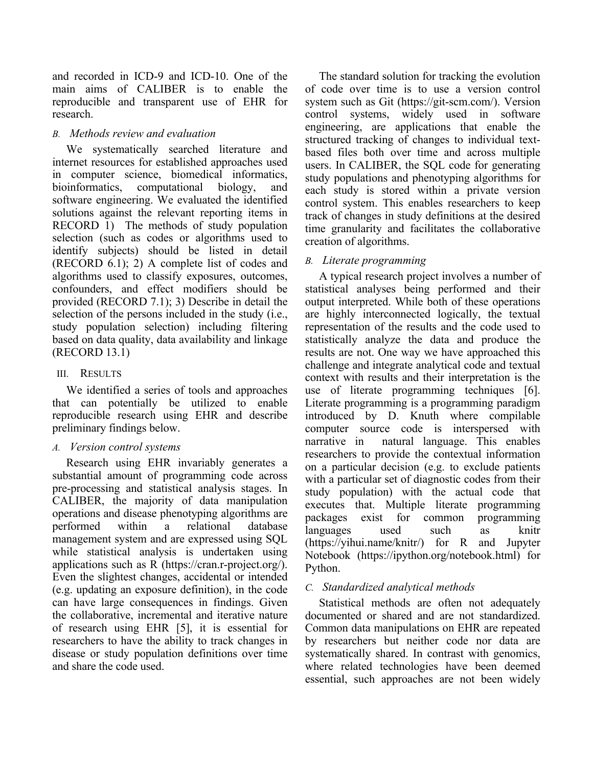and recorded in ICD-9 and ICD-10. One of the main aims of CALIBER is to enable the reproducible and transparent use of EHR for research.

### *B. Methods review and evaluation*

We systematically searched literature and internet resources for established approaches used in computer science, biomedical informatics, bioinformatics, computational biology, and software engineering. We evaluated the identified solutions against the relevant reporting items in RECORD 1) The methods of study population selection (such as codes or algorithms used to identify subjects) should be listed in detail (RECORD 6.1); 2) A complete list of codes and algorithms used to classify exposures, outcomes, confounders, and effect modifiers should be provided (RECORD 7.1); 3) Describe in detail the selection of the persons included in the study (i.e., study population selection) including filtering based on data quality, data availability and linkage (RECORD 13.1)

### III. RESULTS

We identified a series of tools and approaches that can potentially be utilized to enable reproducible research using EHR and describe preliminary findings below.

## *A. Version control systems*

Research using EHR invariably generates a substantial amount of programming code across pre-processing and statistical analysis stages. In CALIBER, the majority of data manipulation operations and disease phenotyping algorithms are performed within a relational database management system and are expressed using SQL while statistical analysis is undertaken using applications such as R (https://cran.r-project.org/). Even the slightest changes, accidental or intended (e.g. updating an exposure definition), in the code can have large consequences in findings. Given the collaborative, incremental and iterative nature of research using EHR [5], it is essential for researchers to have the ability to track changes in disease or study population definitions over time and share the code used.

The standard solution for tracking the evolution of code over time is to use a version control system such as Git (https://git-scm.com/). Version control systems, widely used in software engineering, are applications that enable the structured tracking of changes to individual textbased files both over time and across multiple users. In CALIBER, the SQL code for generating study populations and phenotyping algorithms for each study is stored within a private version control system. This enables researchers to keep track of changes in study definitions at the desired time granularity and facilitates the collaborative creation of algorithms.

## *B. Literate programming*

A typical research project involves a number of statistical analyses being performed and their output interpreted. While both of these operations are highly interconnected logically, the textual representation of the results and the code used to statistically analyze the data and produce the results are not. One way we have approached this challenge and integrate analytical code and textual context with results and their interpretation is the use of literate programming techniques [6]. Literate programming is a programming paradigm introduced by D. Knuth where compilable computer source code is interspersed with narrative in natural language. This enables researchers to provide the contextual information on a particular decision (e.g. to exclude patients with a particular set of diagnostic codes from their study population) with the actual code that executes that. Multiple literate programming packages exist for common programming languages used such as knitr (https://yihui.name/knitr/) for R and Jupyter Notebook (https://ipython.org/notebook.html) for Python.

## *C. Standardized analytical methods*

Statistical methods are often not adequately documented or shared and are not standardized. Common data manipulations on EHR are repeated by researchers but neither code nor data are systematically shared. In contrast with genomics, where related technologies have been deemed essential, such approaches are not been widely